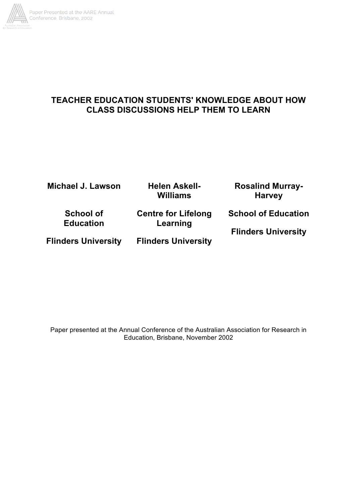

# **TEACHER EDUCATION STUDENTS' KNOWLEDGE ABOUT HOW CLASS DISCUSSIONS HELP THEM TO LEARN**

| <b>Michael J. Lawson</b>             | <b>Helen Askell-</b><br>Williams       | <b>Rosalind Murray-</b><br><b>Harvey</b> |
|--------------------------------------|----------------------------------------|------------------------------------------|
| <b>School of</b><br><b>Education</b> | <b>Centre for Lifelong</b><br>Learning | <b>School of Education</b>               |
| <b>Flinders University</b>           | <b>Flinders University</b>             | <b>Flinders University</b>               |

Paper presented at the Annual Conference of the Australian Association for Research in Education, Brisbane, November 2002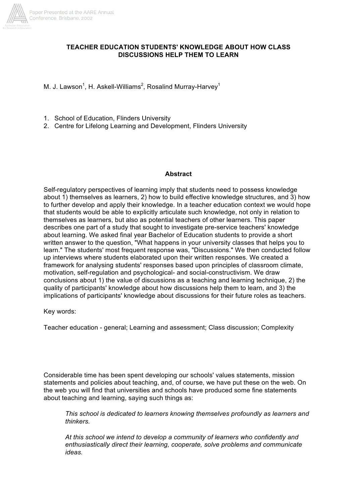

#### **TEACHER EDUCATION STUDENTS' KNOWLEDGE ABOUT HOW CLASS DISCUSSIONS HELP THEM TO LEARN**

M. J. Lawson<sup>1</sup>, H. Askell-Williams<sup>2</sup>, Rosalind Murray-Harvey<sup>1</sup>

- 1. School of Education, Flinders University
- 2. Centre for Lifelong Learning and Development, Flinders University

#### **Abstract**

Self-regulatory perspectives of learning imply that students need to possess knowledge about 1) themselves as learners, 2) how to build effective knowledge structures, and 3) how to further develop and apply their knowledge. In a teacher education context we would hope that students would be able to explicitly articulate such knowledge, not only in relation to themselves as learners, but also as potential teachers of other learners. This paper describes one part of a study that sought to investigate pre-service teachers' knowledge about learning. We asked final year Bachelor of Education students to provide a short written answer to the question, "What happens in your university classes that helps you to learn." The students' most frequent response was, "Discussions." We then conducted follow up interviews where students elaborated upon their written responses. We created a framework for analysing students' responses based upon principles of classroom climate, motivation, self-regulation and psychological- and social-constructivism. We draw conclusions about 1) the value of discussions as a teaching and learning technique, 2) the quality of participants' knowledge about how discussions help them to learn, and 3) the implications of participants' knowledge about discussions for their future roles as teachers.

Key words:

Teacher education - general; Learning and assessment; Class discussion; Complexity

Considerable time has been spent developing our schools' values statements, mission statements and policies about teaching, and, of course, we have put these on the web. On the web you will find that universities and schools have produced some fine statements about teaching and learning, saying such things as:

*This school is dedicated to learners knowing themselves profoundly as learners and thinkers.*

*At this school we intend to develop a community of learners who confidently and enthusiastically direct their learning, cooperate, solve problems and communicate ideas.*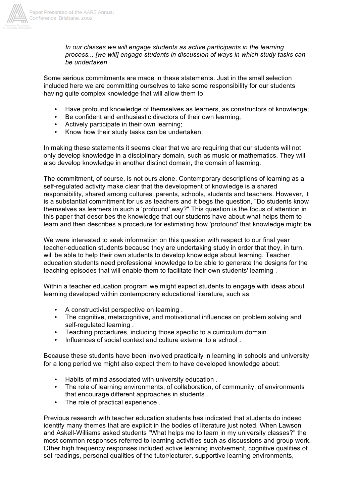

*In our classes we will engage students as active participants in the learning process... [we will] engage students in discussion of ways in which study tasks can be undertaken*

Some serious commitments are made in these statements. Just in the small selection included here we are committing ourselves to take some responsibility for our students having quite complex knowledge that will allow them to:

- Have profound knowledge of themselves as learners, as constructors of knowledge;<br>• Be confident and enthusiastic directors of their own learning:
- Be confident and enthusiastic directors of their own learning;
- Actively participate in their own learning;
- Know how their study tasks can be undertaken;

In making these statements it seems clear that we are requiring that our students will not only develop knowledge in a disciplinary domain, such as music or mathematics. They will also develop knowledge in another distinct domain, the domain of learning.

The commitment, of course, is not ours alone. Contemporary descriptions of learning as a self-regulated activity make clear that the development of knowledge is a shared responsibility, shared among cultures, parents, schools, students and teachers. However, it is a substantial commitment for us as teachers and it begs the question, "Do students know themselves as learners in such a 'profound' way?" This question is the focus of attention in this paper that describes the knowledge that our students have about what helps them to learn and then describes a procedure for estimating how 'profound' that knowledge might be.

We were interested to seek information on this question with respect to our final year teacher-education students because they are undertaking study in order that they, in turn, will be able to help their own students to develop knowledge about learning. Teacher education students need professional knowledge to be able to generate the designs for the teaching episodes that will enable them to facilitate their own students' learning .

Within a teacher education program we might expect students to engage with ideas about learning developed within contemporary educational literature, such as

- A constructivist perspective on learning .
- The cognitive, metacognitive, and motivational influences on problem solving and self-regulated learning .
- Teaching procedures, including those specific to a curriculum domain .
- Influences of social context and culture external to a school .

Because these students have been involved practically in learning in schools and university for a long period we might also expect them to have developed knowledge about:

- Habits of mind associated with university education .
- The role of learning environments, of collaboration, of community, of environments that encourage different approaches in students .
- The role of practical experience .

Previous research with teacher education students has indicated that students do indeed identify many themes that are explicit in the bodies of literature just noted. When Lawson and Askell-Williams asked students "What helps me to learn in my university classes?" the most common responses referred to learning activities such as discussions and group work. Other high frequency responses included active learning involvement, cognitive qualities of set readings, personal qualities of the tutor/lecturer, supportive learning environments,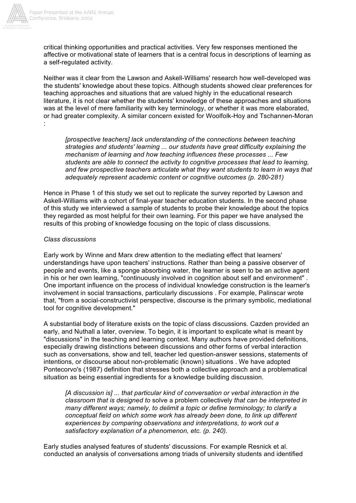

critical thinking opportunities and practical activities. Very few responses mentioned the affective or motivational state of learners that is a central focus in descriptions of learning as a self-regulated activity.

Neither was it clear from the Lawson and Askell-Williams' research how well-developed was the students' knowledge about these topics. Although students showed clear preferences for teaching approaches and situations that are valued highly in the educational research literature, it is not clear whether the students' knowledge of these approaches and situations was at the level of mere familiarity with key terminology, or whether it was more elaborated, or had greater complexity. A similar concern existed for Woolfolk-Hoy and Tschannen-Moran :

*[prospective teachers] lack understanding of the connections between teaching strategies and students' learning ... our students have great difficulty explaining the mechanism of learning and how teaching influences these processes ... Few students are able to connect the activity to cognitive processes that lead to learning, and few prospective teachers articulate what they want students to learn in ways that adequately represent academic content or cognitive outcomes (p. 280-281)*

Hence in Phase 1 of this study we set out to replicate the survey reported by Lawson and Askell-Williams with a cohort of final-year teacher education students. In the second phase of this study we interviewed a sample of students to probe their knowledge about the topics they regarded as most helpful for their own learning. For this paper we have analysed the results of this probing of knowledge focusing on the topic of class discussions.

#### *Class discussions*

Early work by Winne and Marx drew attention to the mediating effect that learners' understandings have upon teachers' instructions. Rather than being a passive observer of people and events, like a sponge absorbing water, the learner is seen to be an active agent in his or her own learning, "continuously involved in cognition about self and environment" . One important influence on the process of individual knowledge construction is the learner's involvement in social transactions, particularly discussions . For example, Palinscar wrote that, "from a social-constructivist perspective, discourse is the primary symbolic, mediational tool for cognitive development."

A substantial body of literature exists on the topic of class discussions. Cazden provided an early, and Nuthall a later, overview. To begin, it is important to explicate what is meant by "discussions" in the teaching and learning context. Many authors have provided definitions, especially drawing distinctions between discussions and other forms of verbal interaction such as conversations, show and tell, teacher led question-answer sessions, statements of intentions, or discourse about non-problematic (known) situations . We have adopted Pontecorvo's (1987) definition that stresses both a collective approach and a problematical situation as being essential ingredients for a knowledge building discussion.

*[A discussion is] ... that particular kind of conversation or verbal interaction in the classroom that is designed to* solve a problem collectively *that can be interpreted in many different ways; namely, to delimit a topic or define terminology; to clarify a conceptual field on which some work has already been done, to link up different experiences by comparing observations and interpretations, to work out a satisfactory explanation of a phenomenon, etc. (p. 240).*

Early studies analysed features of students' discussions. For example Resnick et al. conducted an analysis of conversations among triads of university students and identified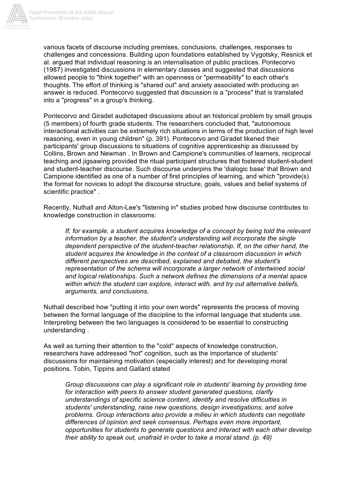

various facets of discourse including premises, conclusions, challenges, responses to challenges and concessions. Building upon foundations established by Vygotsky, Resnick et al. argued that individual reasoning is an internalisation of public practices. Pontecorvo (1987) investigated discussions in elementary classes and suggested that discussions allowed people to "think together" with an openness or "permeability" to each other's thoughts. The effort of thinking is "shared out" and anxiety associated with producing an answer is reduced. Pontecorvo suggested that discussion is a "process" that is translated into a "progress" in a group's thinking.

Pontecorvo and Giradet audiotaped discussions about an historical problem by small groups (5 members) of fourth grade students. The researchers concluded that, "autonomous interactional activities can be extremely rich situations in terms of the production of high level reasoning, even in young children" (p. 391). Pontecorvo and Giradet likened their participants' group discussions to situations of cognitive apprenticeship as discussed by Collins, Brown and Newman . In Brown and Campione's communities of learners, reciprocal teaching and jigsawing provided the ritual participant structures that fostered student-student and student-teacher discourse. Such discourse underpins the 'dialogic base' that Brown and Campione identified as one of a number of first principles of learning, and which "provide(s) the format for novices to adopt the discourse structure, goals, values and belief systems of scientific practice" .

Recently, Nuthall and Alton-Lee's "listening in" studies probed how discourse contributes to knowledge construction in classrooms:

*If, for example, a student acquires knowledge of a concept by being told the relevant information by a teacher, the student's understanding will incorporate the single dependent perspective of the student-teacher relationship. If, on the other hand, the student acquires the knowledge in the context of a classroom discussion in which different perspectives are described, explained and debated, the student's representation of the schema will incorporate a larger network of intertwined social and logical relationships. Such a network defines the dimensions of a mental space within which the student can explore, interact with, and try out alternative beliefs, arguments, and conclusions.*

Nuthall described how "putting it into your own words" represents the process of moving between the formal language of the discipline to the informal language that students use. Interpreting between the two languages is considered to be essential to constructing understanding .

As well as turning their attention to the "cold" aspects of knowledge construction, researchers have addressed "hot" cognition, such as the importance of students' discussions for maintaining motivation (especially interest) and for developing moral positions. Tobin, Tippins and Gallard stated

*Group discussions can play a significant role in students' learning by providing time for interaction with peers to answer student generated questions, clarify understandings of specific science content, identify and resolve difficulties in students' understanding, raise new questions, design investigations, and solve problems. Group interactions also provide a milieu in which students can negotiate differences of opinion and seek consensus. Perhaps even more important, opportunities for students to generate questions and interact with each other develop their ability to speak out, unafraid in order to take a moral stand. (p. 49)*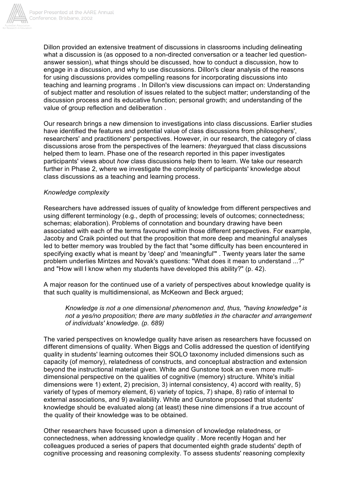

Dillon provided an extensive treatment of discussions in classrooms including delineating what a discussion is (as opposed to a non-directed conversation or a teacher led questionanswer session), what things should be discussed, how to conduct a discussion, how to engage in a discussion, and why to use discussions. Dillon's clear analysis of the reasons for using discussions provides compelling reasons for incorporating discussions into teaching and learning programs . In Dillon's view discussions can impact on: Understanding of subject matter and resolution of issues related to the subject matter; understanding of the discussion process and its educative function; personal growth; and understanding of the value of group reflection and deliberation .

Our research brings a new dimension to investigations into class discussions. Earlier studies have identified the features and potential value of class discussions from philosophers', researchers' and practitioners' perspectives. However, in our research, the category of class discussions arose from the perspectives of the learners: *they*argued that class discussions helped them to learn. Phase one of the research reported in this paper investigates participants' views about *how* class discussions help them to learn. We take our research further in Phase 2, where we investigate the complexity of participants' knowledge about class discussions as a teaching and learning process.

## *Knowledge complexity*

Researchers have addressed issues of quality of knowledge from different perspectives and using different terminology (e.g., depth of processing; levels of outcomes; connectedness; schemas; elaboration). Problems of connotation and boundary drawing have been associated with each of the terms favoured within those different perspectives. For example, Jacoby and Craik pointed out that the proposition that more deep and meaningful analyses led to better memory was troubled by the fact that "some difficulty has been encountered in specifying exactly what is meant by 'deep' and 'meaningful'" . Twenty years later the same problem underlies Mintzes and Novak's questions: "What does it mean to understand ...?" and "How will I know when my students have developed this ability?" (p. 42).

A major reason for the continued use of a variety of perspectives about knowledge quality is that such quality is multidimensional, as McKeown and Beck argued;

*Knowledge is not a one dimensional phenomenon and, thus, "having knowledge" is not a yes/no proposition; there are many subtleties in the character and arrangement of individuals' knowledge. (p. 689)*

The varied perspectives on knowledge quality have arisen as researchers have focussed on different dimensions of quality. When Biggs and Collis addressed the question of identifying quality in students' learning outcomes their SOLO taxonomy included dimensions such as capacity (of memory), relatedness of constructs, and conceptual abstraction and extension beyond the instructional material given. White and Gunstone took an even more multidimensional perspective on the qualities of cognitive (memory) structure. White's initial dimensions were 1) extent, 2) precision, 3) internal consistency, 4) accord with reality, 5) variety of types of memory element, 6) variety of topics, 7) shape, 8) ratio of internal to external associations, and 9) availability. White and Gunstone proposed that students' knowledge should be evaluated along (at least) these nine dimensions if a true account of the quality of their knowledge was to be obtained.

Other researchers have focussed upon a dimension of knowledge relatedness, or connectedness, when addressing knowledge quality . More recently Hogan and her colleagues produced a series of papers that documented eighth grade students' depth of cognitive processing and reasoning complexity. To assess students' reasoning complexity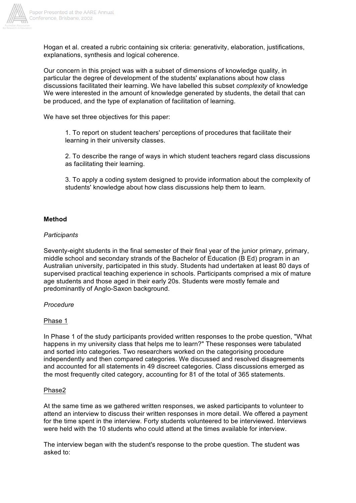

Hogan et al. created a rubric containing six criteria: generativity, elaboration, justifications, explanations, synthesis and logical coherence.

Our concern in this project was with a subset of dimensions of knowledge quality, in particular the degree of development of the students' explanations about how class discussions facilitated their learning. We have labelled this subset *complexity* of knowledge We were interested in the amount of knowledge generated by students, the detail that can be produced, and the type of explanation of facilitation of learning.

We have set three objectives for this paper:

1. To report on student teachers' perceptions of procedures that facilitate their learning in their university classes.

2. To describe the range of ways in which student teachers regard class discussions as facilitating their learning.

3. To apply a coding system designed to provide information about the complexity of students' knowledge about how class discussions help them to learn.

#### **Method**

#### *Participants*

Seventy-eight students in the final semester of their final year of the junior primary, primary, middle school and secondary strands of the Bachelor of Education (B Ed) program in an Australian university, participated in this study. Students had undertaken at least 80 days of supervised practical teaching experience in schools. Participants comprised a mix of mature age students and those aged in their early 20s. Students were mostly female and predominantly of Anglo-Saxon background.

#### *Procedure*

#### Phase 1

In Phase 1 of the study participants provided written responses to the probe question, "What happens in my university class that helps me to learn?" These responses were tabulated and sorted into categories. Two researchers worked on the categorising procedure independently and then compared categories. We discussed and resolved disagreements and accounted for all statements in 49 discreet categories. Class discussions emerged as the most frequently cited category, accounting for 81 of the total of 365 statements.

#### Phase2

At the same time as we gathered written responses, we asked participants to volunteer to attend an interview to discuss their written responses in more detail. We offered a payment for the time spent in the interview*.* Forty students volunteered to be interviewed. Interviews were held with the 10 students who could attend at the times available for interview.

The interview began with the student's response to the probe question. The student was asked to: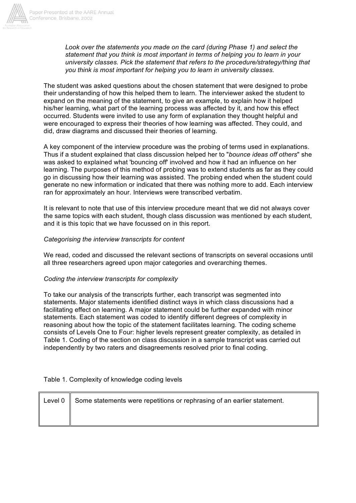

*Look over the statements you made on the card (during Phase 1) and select the statement that you think is most important in terms of helping you to learn in your university classes. Pick the statement that refers to the procedure/strategy/thing that you think is most important for helping you to learn in university classes.*

The student was asked questions about the chosen statement that were designed to probe their understanding of how this helped them to learn. The interviewer asked the student to expand on the meaning of the statement, to give an example, to explain how it helped his/her learning, what part of the learning process was affected by it, and how this effect occurred. Students were invited to use any form of explanation they thought helpful and were encouraged to express their theories of how learning was affected. They could, and did, draw diagrams and discussed their theories of learning.

A key component of the interview procedure was the probing of terms used in explanations. Thus if a student explained that class discussion helped her to "*bounce ideas off others*" she was asked to explained what 'bouncing off' involved and how it had an influence on her learning. The purposes of this method of probing was to extend students as far as they could go in discussing how their learning was assisted. The probing ended when the student could generate no new information or indicated that there was nothing more to add. Each interview ran for approximately an hour. Interviews were transcribed verbatim.

It is relevant to note that use of this interview procedure meant that we did not always cover the same topics with each student, though class discussion was mentioned by each student, and it is this topic that we have focussed on in this report.

## *Categorising the interview transcripts for content*

We read, coded and discussed the relevant sections of transcripts on several occasions until all three researchers agreed upon major categories and overarching themes.

## *Coding the interview transcripts for complexity*

To take our analysis of the transcripts further, each transcript was segmented into statements. Major statements identified distinct ways in which class discussions had a facilitating effect on learning. A major statement could be further expanded with minor statements. Each statement was coded to identify different degrees of complexity in reasoning about how the topic of the statement facilitates learning. The coding scheme consists of Levels One to Four: higher levels represent greater complexity, as detailed in Table 1. Coding of the section on class discussion in a sample transcript was carried out independently by two raters and disagreements resolved prior to final coding.

## Table 1. Complexity of knowledge coding levels

| Level $0 \parallel$ Some statements were repetitions or rephrasing of an earlier statement. |
|---------------------------------------------------------------------------------------------|
|                                                                                             |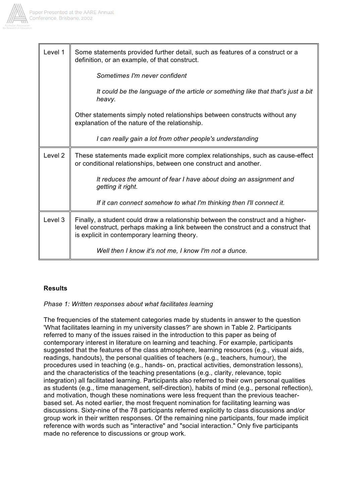

| Level 1            | Some statements provided further detail, such as features of a construct or a<br>definition, or an example, of that construct.                                                                                        |
|--------------------|-----------------------------------------------------------------------------------------------------------------------------------------------------------------------------------------------------------------------|
|                    | Sometimes I'm never confident                                                                                                                                                                                         |
|                    | It could be the language of the article or something like that that's just a bit<br>heavy.                                                                                                                            |
|                    | Other statements simply noted relationships between constructs without any<br>explanation of the nature of the relationship.                                                                                          |
|                    | I can really gain a lot from other people's understanding                                                                                                                                                             |
| Level <sub>2</sub> | These statements made explicit more complex relationships, such as cause-effect<br>or conditional relationships, between one construct and another.                                                                   |
|                    | It reduces the amount of fear I have about doing an assignment and<br>getting it right.                                                                                                                               |
|                    | If it can connect somehow to what I'm thinking then I'll connect it.                                                                                                                                                  |
| Level 3            | Finally, a student could draw a relationship between the construct and a higher-<br>level construct, perhaps making a link between the construct and a construct that<br>is explicit in contemporary learning theory. |
|                    | Well then I know it's not me, I know I'm not a dunce.                                                                                                                                                                 |

## **Results**

## *Phase 1: Written responses about what facilitates learning*

The frequencies of the statement categories made by students in answer to the question 'What facilitates learning in my university classes?' are shown in Table 2. Participants referred to many of the issues raised in the introduction to this paper as being of contemporary interest in literature on learning and teaching. For example, participants suggested that the features of the class atmosphere, learning resources (e.g., visual aids, readings, handouts), the personal qualities of teachers (e.g., teachers, humour), the procedures used in teaching (e.g., hands- on, practical activities, demonstration lessons), and the characteristics of the teaching presentations (e.g., clarity, relevance, topic integration) all facilitated learning. Participants also referred to their own personal qualities as students (e.g., time management, self-direction), habits of mind (e.g., personal reflection), and motivation, though these nominations were less frequent than the previous teacherbased set. As noted earlier, the most frequent nomination for facilitating learning was discussions. Sixty-nine of the 78 participants referred explicitly to class discussions and/or group work in their written responses. Of the remaining nine participants, four made implicit reference with words such as "interactive" and "social interaction." Only five participants made no reference to discussions or group work.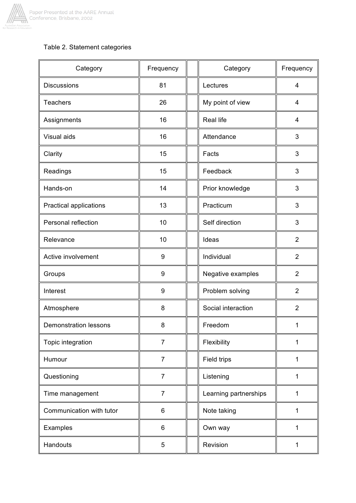

## Table 2. Statement categories

| Category                     | Frequency      | Category              | Frequency      |
|------------------------------|----------------|-----------------------|----------------|
| <b>Discussions</b>           | 81             | Lectures              | 4              |
| <b>Teachers</b>              | 26             | My point of view      | 4              |
| Assignments                  | 16             | <b>Real life</b>      | 4              |
| Visual aids                  | 16             | Attendance            | 3              |
| Clarity                      | 15             | Facts                 | 3              |
| Readings                     | 15             | Feedback              | 3              |
| Hands-on                     | 14             | Prior knowledge       | 3              |
| Practical applications       | 13             | Practicum             | 3              |
| Personal reflection          | 10             | Self direction        | 3              |
| Relevance                    | 10             | Ideas                 | $\overline{2}$ |
| Active involvement           | 9              | Individual            | $\overline{2}$ |
| Groups                       | 9              | Negative examples     | $\overline{2}$ |
| Interest                     | 9              | Problem solving       | $\overline{2}$ |
| Atmosphere                   | 8              | Social interaction    | $\overline{2}$ |
| <b>Demonstration lessons</b> | 8              | Freedom               | 1              |
| Topic integration            | $\overline{7}$ | Flexibility           | 1              |
| Humour                       | $\overline{7}$ | Field trips           | $\mathbf{1}$   |
| Questioning                  | $\overline{7}$ | Listening             | 1              |
| Time management              | $\overline{7}$ | Learning partnerships | 1              |
| Communication with tutor     | 6              | Note taking           | 1              |
| Examples                     | 6              | Own way               | 1              |
| Handouts                     | 5              | Revision              | 1              |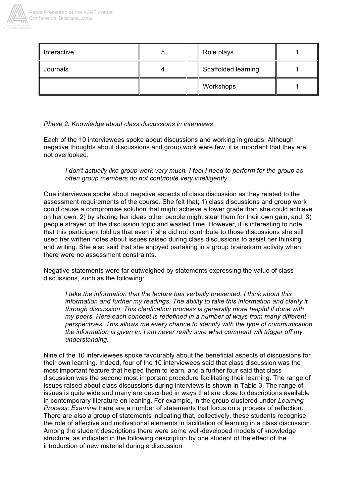

| Interactive |  | Role plays          |  |
|-------------|--|---------------------|--|
| Journals    |  | Scaffolded learning |  |
|             |  | Workshops           |  |

## *Phase 2. Knowledge about class discussions in interviews*

Each of the 10 interviewees spoke about discussions and working in groups. Although negative thoughts about discussions and group work were few, it is important that they are not overlooked.

*I don't actually like group work very much. I feel I need to perform for the group as often group members do not contribute very intelligently.*

One interviewee spoke about negative aspects of class discussion as they related to the assessment requirements of the course. She felt that; 1) class discussions and group work could cause a compromise solution that might achieve a lower grade than she could achieve on her own; 2) by sharing her ideas other people might steal them for their own gain, and; 3) people strayed off the discussion topic and wasted time. However, it is interesting to note that this participant told us that even if she did not contribute to those discussions she still used her written notes about issues raised during class discussions to assist her thinking and writing. She also said that she enjoyed partaking in a group brainstorm activity when there were no assessment constraints.

Negative statements were far outweighed by statements expressing the value of class discussions, such as the following:

*I take the information that the lecture has verbally presented. I think about this information and further my readings. The ability to take this information and clarify it through discussion. This clarification process is generally more helpful if done with my peers. Here each concept is redefined in a number of ways from many different perspectives. This allows me every chance to identify with the type of communication the information is given in. I am never really sure what comment will trigger off my understanding.*

Nine of the 10 interviewees spoke favourably about the beneficial aspects of discussions for their own learning. Indeed, four of the 10 interviewees said that class discussion was the most important feature that helped them to learn, and a further four said that class discussion was the second most important procedure facilitating their learning. The range of issues raised about class discussions during interviews is shown in Table 3. The range of issues is quite wide and many are described in ways that are close to descriptions available in contemporary literature on leaning. For example, in the group clustered under *Learning Process: Examine* there are a number of statements that focus on a process of reflection. There are also a group of statements indicating that, collectively, these students recognise the role of affective and motivational elements in facilitation of learning in a class discussion. Among the student descriptions there were some well-developed models of knowledge structure, as indicated in the following description by one student of the effect of the introduction of new material during a discussion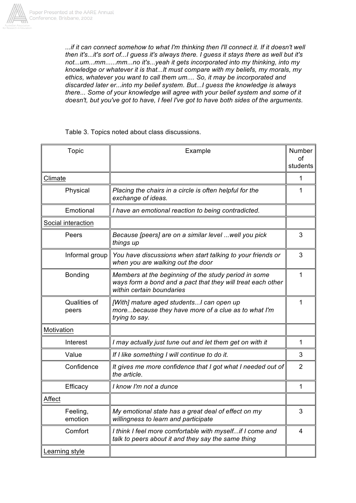

...if it can connect somehow to what I'm thinking then I'll connect it. If it doesn't well *then it's...it's sort of...I guess it's always there. I guess it stays there as well but it's not...um...mm......mm...no it's...yeah it gets incorporated into my thinking, into my knowledge or whatever it is that...It must compare with my beliefs, my morals, my ethics, whatever you want to call them um.... So, it may be incorporated and discarded later er...into my belief system. But...I guess the knowledge is always there... Some of your knowledge will agree with your belief system and some of it doesn't, but you've got to have, I feel I've got to have both sides of the arguments.*

Table 3. Topics noted about class discussions.

| Topic                 | Example                                                                                                                                          |                |
|-----------------------|--------------------------------------------------------------------------------------------------------------------------------------------------|----------------|
|                       |                                                                                                                                                  | οf<br>students |
| Climate               |                                                                                                                                                  | 1              |
| Physical              | Placing the chairs in a circle is often helpful for the<br>exchange of ideas.                                                                    | 1              |
| Emotional             | I have an emotional reaction to being contradicted.                                                                                              |                |
| Social interaction    |                                                                                                                                                  |                |
| Peers                 | Because [peers] are on a similar level  well you pick<br>things up                                                                               | 3              |
| Informal group        | You have discussions when start talking to your friends or<br>when you are walking out the door                                                  | 3              |
| <b>Bonding</b>        | Members at the beginning of the study period in some<br>ways form a bond and a pact that they will treat each other<br>within certain boundaries | 1              |
| Qualities of<br>peers | [With] mature aged students I can open up<br>morebecause they have more of a clue as to what I'm<br>trying to say.                               | 1              |
| Motivation            |                                                                                                                                                  |                |
| Interest              | I may actually just tune out and let them get on with it                                                                                         | 1              |
| Value                 | If I like something I will continue to do it.                                                                                                    | 3              |
| Confidence            | It gives me more confidence that I got what I needed out of<br>the article.                                                                      | 2              |
| Efficacy              | I know I'm not a dunce                                                                                                                           | 1              |
| Affect                |                                                                                                                                                  |                |
| Feeling,<br>emotion   | My emotional state has a great deal of effect on my<br>willingness to learn and participate                                                      | 3              |
| Comfort               | I think I feel more comfortable with myself if I come and<br>talk to peers about it and they say the same thing                                  | 4              |
| Learning style        |                                                                                                                                                  |                |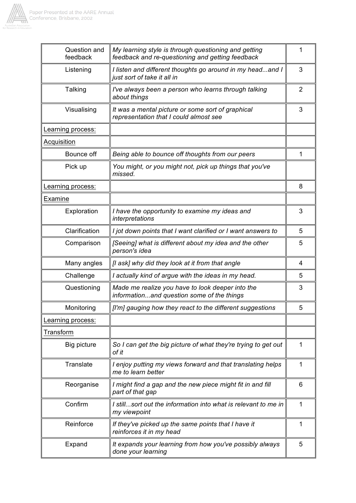

| Question and<br>feedback | My learning style is through questioning and getting<br>feedback and re-questioning and getting feedback | 1              |
|--------------------------|----------------------------------------------------------------------------------------------------------|----------------|
| Listening                | I listen and different thoughts go around in my headand I<br>just sort of take it all in                 | 3              |
| Talking                  | I've always been a person who learns through talking<br>about things                                     | $\overline{2}$ |
| Visualising              | It was a mental picture or some sort of graphical<br>representation that I could almost see              | 3              |
| Learning process:        |                                                                                                          |                |
| Acquisition              |                                                                                                          |                |
| Bounce off               | Being able to bounce off thoughts from our peers                                                         | 1              |
| Pick up                  | You might, or you might not, pick up things that you've<br>missed.                                       |                |
| Learning process:        |                                                                                                          | 8              |
| Examine                  |                                                                                                          |                |
| Exploration              | I have the opportunity to examine my ideas and<br>interpretations                                        | 3              |
| Clarification            | I jot down points that I want clarified or I want answers to                                             | 5              |
| Comparison               | [Seeing] what is different about my idea and the other<br>person's idea                                  | 5              |
| Many angles              | [I ask] why did they look at it from that angle                                                          | 4              |
| Challenge                | I actually kind of argue with the ideas in my head.                                                      | 5              |
| Questioning              | Made me realize you have to look deeper into the<br>informationand question some of the things           | 3              |
| Monitoring               | [I'm] gauging how they react to the different suggestions                                                | 5              |
| Learning process:        |                                                                                                          |                |
| Transform                |                                                                                                          |                |
| Big picture              | So I can get the big picture of what they're trying to get out<br>of it                                  | 1              |
| Translate                | I enjoy putting my views forward and that translating helps<br>me to learn better                        | 1              |
| Reorganise               | I might find a gap and the new piece might fit in and fill<br>part of that gap                           | 6              |
| Confirm                  | I stillsort out the information into what is relevant to me in<br>my viewpoint                           | 1              |
| Reinforce                | If they've picked up the same points that I have it<br>reinforces it in my head                          | 1              |
| Expand                   | It expands your learning from how you've possibly always<br>done your learning                           | 5              |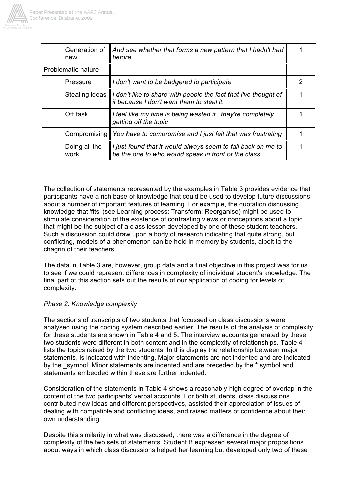

| Generation of<br>new  | And see whether that forms a new pattern that I hadn't had<br>before                                                           |   |
|-----------------------|--------------------------------------------------------------------------------------------------------------------------------|---|
| Problematic nature    |                                                                                                                                |   |
| Pressure              | I don't want to be badgered to participate                                                                                     | 2 |
|                       | Stealing ideas    I don't like to share with people the fact that I've thought of<br>it because I don't want them to steal it. |   |
| Off task              | I feel like my time is being wasted ifthey're completely<br>getting off the topic                                              |   |
|                       | Compromising $\parallel$ You have to compromise and I just felt that was frustrating                                           |   |
| Doing all the<br>work | I just found that it would always seem to fall back on me to<br>be the one to who would speak in front of the class            |   |

The collection of statements represented by the examples in Table 3 provides evidence that participants have a rich base of knowledge that could be used to develop future discussions about a number of important features of learning. For example, the quotation discussing knowledge that 'fits' (see Learning process: Transform: Reorganise) might be used to stimulate consideration of the existence of contrasting views or conceptions about a topic that might be the subject of a class lesson developed by one of these student teachers. Such a discussion could draw upon a body of research indicating that quite strong, but conflicting, models of a phenomenon can be held in memory by students, albeit to the chagrin of their teachers .

The data in Table 3 are, however, group data and a final objective in this project was for us to see if we could represent differences in complexity of individual student's knowledge. The final part of this section sets out the results of our application of coding for levels of complexity.

## *Phase 2: Knowledge complexity*

The sections of transcripts of two students that focussed on class discussions were analysed using the coding system described earlier. The results of the analysis of complexity for these students are shown in Table 4 and 5. The interview accounts generated by these two students were different in both content and in the complexity of relationships. Table 4 lists the topics raised by the two students. In this display the relationship between major statements, is indicated with indenting. Major statements are not indented and are indicated by the symbol. Minor statements are indented and are preceded by the \* symbol and statements embedded within these are further indented.

Consideration of the statements in Table 4 shows a reasonably high degree of overlap in the content of the two participants' verbal accounts. For both students, class discussions contributed new ideas and different perspectives, assisted their appreciation of issues of dealing with compatible and conflicting ideas, and raised matters of confidence about their own understanding.

Despite this similarity in what was discussed, there was a difference in the degree of complexity of the two sets of statements. Student B expressed several major propositions about ways in which class discussions helped her learning but developed only two of these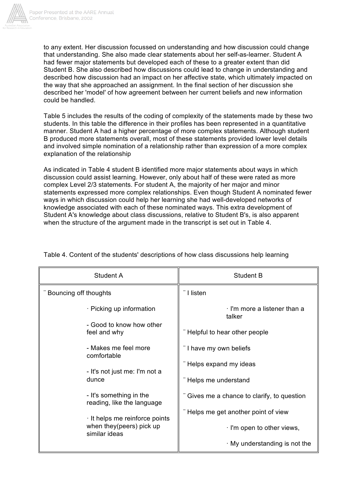

to any extent. Her discussion focussed on understanding and how discussion could change that understanding. She also made clear statements about her self-as-learner. Student A had fewer major statements but developed each of these to a greater extent than did Student B. She also described how discussions could lead to change in understanding and described how discussion had an impact on her affective state, which ultimately impacted on the way that she approached an assignment. In the final section of her discussion she described her 'model' of how agreement between her current beliefs and new information could be handled.

Table 5 includes the results of the coding of complexity of the statements made by these two students. In this table the difference in their profiles has been represented in a quantitative manner. Student A had a higher percentage of more complex statements. Although student B produced more statements overall, most of these statements provided lower level details and involved simple nomination of a relationship rather than expression of a more complex explanation of the relationship

As indicated in Table 4 student B identified more major statements about ways in which discussion could assist learning. However, only about half of these were rated as more complex Level 2/3 statements. For student A, the majority of her major and minor statements expressed more complex relationships. Even though Student A nominated fewer ways in which discussion could help her learning she had well-developed networks of knowledge associated with each of these nominated ways. This extra development of Student A's knowledge about class discussions, relative to Student B's, is also apparent when the structure of the argument made in the transcript is set out in Table 4.

| Student A                                             | <b>Student B</b>                          |  |  |
|-------------------------------------------------------|-------------------------------------------|--|--|
| Bouncing off thoughts                                 | I listen                                  |  |  |
| · Picking up information<br>- Good to know how other  | I'm more a listener than a<br>talker      |  |  |
| feel and why                                          | Helpful to hear other people              |  |  |
| - Makes me feel more<br>comfortable                   | I have my own beliefs                     |  |  |
| - It's not just me: I'm not a                         | Helps expand my ideas                     |  |  |
| dunce                                                 | Helps me understand                       |  |  |
| - It's something in the<br>reading, like the language | Gives me a chance to clarify, to question |  |  |
| It helps me reinforce points                          | Helps me get another point of view        |  |  |
| when they (peers) pick up<br>similar ideas            | I'm open to other views,                  |  |  |
|                                                       | My understanding is not the               |  |  |

Table 4. Content of the students' descriptions of how class discussions help learning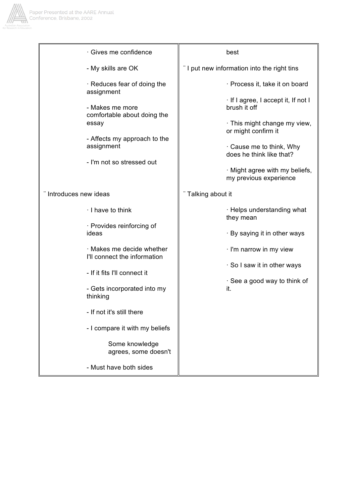

| · Gives me confidence                                     | best                                                     |  |  |
|-----------------------------------------------------------|----------------------------------------------------------|--|--|
| - My skills are OK                                        | "I put new information into the right tins               |  |  |
| · Reduces fear of doing the<br>assignment                 | Process it, take it on board                             |  |  |
| - Makes me more<br>comfortable about doing the            | If I agree, I accept it, If not I<br>brush it off        |  |  |
| essay                                                     | This might change my view,<br>or might confirm it        |  |  |
| - Affects my approach to the<br>assignment                | Cause me to think, Why<br>does he think like that?       |  |  |
| - I'm not so stressed out                                 | · Might agree with my beliefs,<br>my previous experience |  |  |
| Introduces new ideas                                      | Talking about it                                         |  |  |
| I have to think                                           | · Helps understanding what<br>they mean                  |  |  |
| · Provides reinforcing of<br>ideas                        | · By saying it in other ways                             |  |  |
| · Makes me decide whether<br>I'll connect the information | I'm narrow in my view                                    |  |  |
| - If it fits I'll connect it                              | So I saw it in other ways                                |  |  |
| - Gets incorporated into my<br>thinking                   | See a good way to think of<br>it.                        |  |  |
| - If not it's still there                                 |                                                          |  |  |
| - I compare it with my beliefs                            |                                                          |  |  |
| Some knowledge<br>agrees, some doesn't                    |                                                          |  |  |
| - Must have both sides                                    |                                                          |  |  |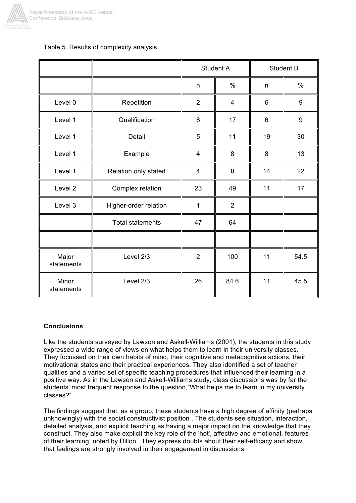

## Table 5. Results of complexity analysis

|                     |                         | Student A      |                | <b>Student B</b> |      |
|---------------------|-------------------------|----------------|----------------|------------------|------|
|                     |                         | n              | $\%$           | n                | $\%$ |
| Level 0             | Repetition              | $\overline{2}$ | $\overline{4}$ | 6                | 9    |
| Level 1             | Qualification           | 8              | 17             | 6                | 9    |
| Level 1             | Detail                  | 5              | 11             | 19               | 30   |
| Level 1             | Example                 | 4              | 8              | 8                | 13   |
| Level 1             | Relation only stated    | $\overline{4}$ | 8              | 14               | 22   |
| Level 2             | Complex relation        | 23             | 49             | 11               | 17   |
| Level 3             | Higher-order relation   | $\mathbf{1}$   | $\overline{2}$ |                  |      |
|                     | <b>Total statements</b> | 47             | 64             |                  |      |
|                     |                         |                |                |                  |      |
| Major<br>statements | Level 2/3               | $\overline{2}$ | 100            | 11               | 54.5 |
| Minor<br>statements | Level 2/3               | 26             | 84.6           | 11               | 45.5 |

## **Conclusions**

Like the students surveyed by Lawson and Askell-Williams (2001), the students in this study expressed a wide range of views on what helps them to learn in their university classes. They focussed on their own habits of mind, their cognitive and metacognitive actions, their motivational states and their practical experiences. They also identified a set of teacher qualities and a varied set of specific teaching procedures that influenced their learning in a positive way. As in the Lawson and Askell-Williams study, class discussions was by far the students' most frequent response to the question,"What helps me to learn in my university classes?"

The findings suggest that, as a group, these students have a high degree of affinity (perhaps unknowingly) with the social constructivist position . The students see situation, interaction, detailed analysis, and explicit teaching as having a major impact on the knowledge that they construct. They also make explicit the key role of the 'hot', affective and emotional, features of their learning, noted by Dillon . They express doubts about their self-efficacy and show that feelings are strongly involved in their engagement in discussions.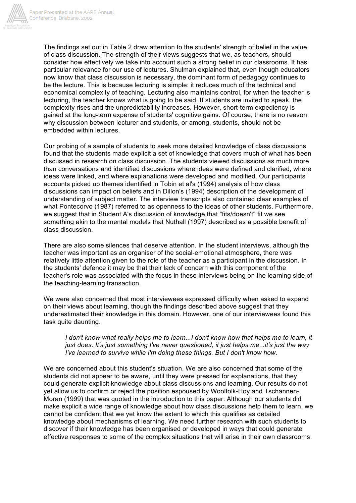

The findings set out in Table 2 draw attention to the students' strength of belief in the value of class discussion. The strength of their views suggests that we, as teachers, should consider how effectively we take into account such a strong belief in our classrooms. It has particular relevance for our use of lectures. Shulman explained that, even though educators now know that class discussion is necessary, the dominant form of pedagogy continues to be the lecture. This is because lecturing is simple: it reduces much of the technical and economical complexity of teaching. Lecturing also maintains control, for when the teacher is lecturing, the teacher knows what is going to be said. If students are invited to speak, the complexity rises and the unpredictability increases. However, short-term expediency is gained at the long-term expense of students' cognitive gains. Of course, there is no reason why discussion between lecturer and students, or among, students, should not be embedded within lectures.

Our probing of a sample of students to seek more detailed knowledge of class discussions found that the students made explicit a set of knowledge that covers much of what has been discussed in research on class discussion. The students viewed discussions as much more than conversations and identified discussions where ideas were defined and clarified, where ideas were linked, and where explanations were developed and modified. Our participants' accounts picked up themes identified in Tobin et al's (1994) analysis of how class discussions can impact on beliefs and in Dillon's (1994) description of the development of understanding of subject matter. The interview transcripts also contained clear examples of what Pontecorvo (1987) referred to as openness to the ideas of other students. Furthermore, we suggest that in Student A's discussion of knowledge that "fits/doesn't" fit we see something akin to the mental models that Nuthall (1997) described as a possible benefit of class discussion.

There are also some silences that deserve attention. In the student interviews, although the teacher was important as an organiser of the social-emotional atmosphere, there was relatively little attention given to the role of the teacher as a participant in the discussion. In the students' defence it may be that their lack of concern with this component of the teacher's role was associated with the focus in these interviews being on the learning side of the teaching-learning transaction.

We were also concerned that most interviewees expressed difficulty when asked to expand on their views about learning, though the findings described above suggest that they underestimated their knowledge in this domain. However, one of our interviewees found this task quite daunting.

*I don't know what really helps me to learn...I don't know how that helps me to learn, it just does. It's just something I've never questioned, it just helps me...it's just the way I've learned to survive while I'm doing these things. But I don't know how.*

We are concerned about this student's situation. We are also concerned that some of the students did not appear to be aware, until they were pressed for explanations, that they could generate explicit knowledge about class discussions and learning. Our results do not yet allow us to confirm or reject the position espoused by Woolfolk-Hoy and Tschannen-Moran (1999) that was quoted in the introduction to this paper. Although our students did make explicit a wide range of knowledge about how class discussions help them to learn, we cannot be confident that we yet know the extent to which this qualifies as detailed knowledge about mechanisms of learning. We need further research with such students to discover if their knowledge has been organised or developed in ways that could generate effective responses to some of the complex situations that will arise in their own classrooms.